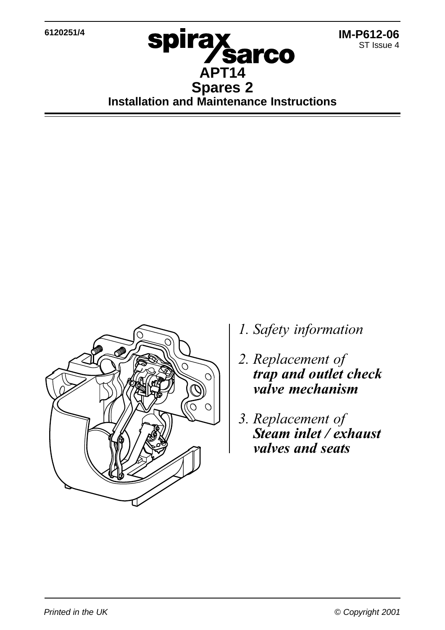**6120251/4**



# **Spirax<br>APT14 Spares 2 Installation and Maintenance Instructions**



- *l*. Safety information
- 2. Replacement of *frap and outlet check* valve mechanism
- 3. Replacement of *Steam inlet / exhaust valves and seats*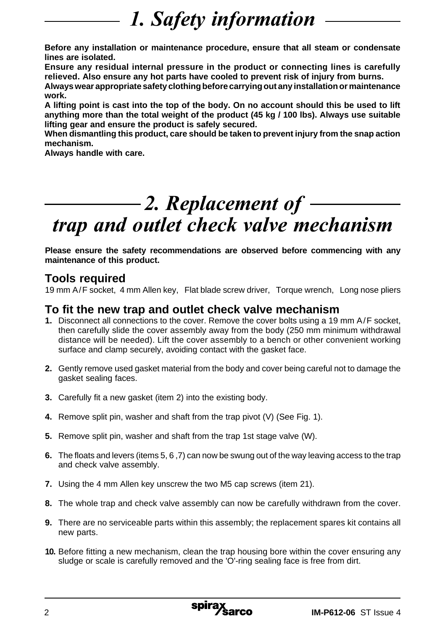## 1. Safety information

**Before any installation or maintenance procedure, ensure that all steam or condensate lines are isolated.**

**Ensure any residual internal pressure in the product or connecting lines is carefully relieved. Also ensure any hot parts have cooled to prevent risk of injury from burns.**

**Always wear appropriate safety clothing before carrying out any installation or maintenance work.**

**A lifting point is cast into the top of the body. On no account should this be used to lift anything more than the total weight of the product (45 kg / 100 lbs). Always use suitable lifting gear and ensure the product is safely secured.**

**When dismantling this product, care should be taken to prevent injury from the snap action mechanism.**

**Always handle with care.**

## 2. Replacement of *trap and outlet check valve mechanism*

**Please ensure the safety recommendations are observed before commencing with any maintenance of this product.**

#### **Tools required**

19 mm A/F socket, 4 mm Allen key, Flat blade screw driver, Torque wrench, Long nose pliers

#### **To fit the new trap and outlet check valve mechanism**

- **1.** Disconnect all connections to the cover. Remove the cover bolts using a 19 mm A/F socket, then carefully slide the cover assembly away from the body (250 mm minimum withdrawal distance will be needed). Lift the cover assembly to a bench or other convenient working surface and clamp securely, avoiding contact with the gasket face.
- **2.** Gently remove used gasket material from the body and cover being careful not to damage the gasket sealing faces.
- **3.** Carefully fit a new gasket (item 2) into the existing body.
- **4.** Remove split pin, washer and shaft from the trap pivot (V) (See Fig. 1).
- **5.** Remove split pin, washer and shaft from the trap 1st stage valve (W).
- **6.** The floats and levers (items 5, 6 ,7) can now be swung out of the way leaving access to the trap and check valve assembly.
- **7.** Using the 4 mm Allen key unscrew the two M5 cap screws (item 21).
- **8.** The whole trap and check valve assembly can now be carefully withdrawn from the cover.
- **9.** There are no serviceable parts within this assembly; the replacement spares kit contains all new parts.
- **10.** Before fitting a new mechanism, clean the trap housing bore within the cover ensuring any sludge or scale is carefully removed and the 'O'-ring sealing face is free from dirt.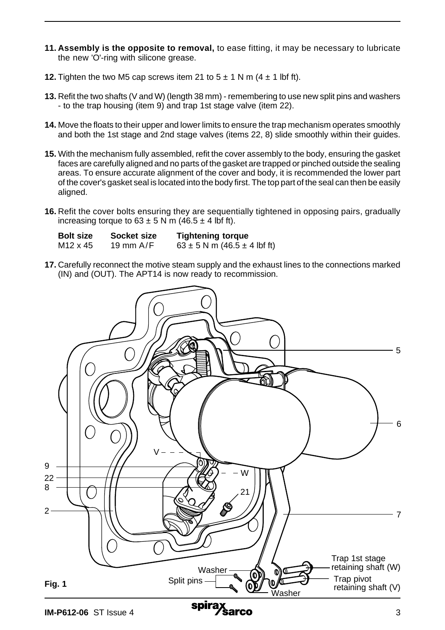- **11. Assembly is the opposite to removal,** to ease fitting, it may be necessary to lubricate the new 'O'-ring with silicone grease.
- **12.** Tighten the two M5 cap screws item 21 to  $5 \pm 1$  N m  $(4 \pm 1)$  lbf ft).
- **13.** Refit the two shafts (V and W) (length 38 mm) remembering to use new split pins and washers - to the trap housing (item 9) and trap 1st stage valve (item 22).
- **14.** Move the floats to their upper and lower limits to ensure the trap mechanism operates smoothly and both the 1st stage and 2nd stage valves (items 22, 8) slide smoothly within their guides.
- **15.** With the mechanism fully assembled, refit the cover assembly to the body, ensuring the gasket faces are carefully aligned and no parts of the gasket are trapped or pinched outside the sealing areas. To ensure accurate alignment of the cover and body, it is recommended the lower part of the cover's gasket seal is located into the body first. The top part of the seal can then be easily aligned.
- **16.** Refit the cover bolts ensuring they are sequentially tightened in opposing pairs, gradually increasing torque to  $63 \pm 5$  N m (46.5  $\pm$  4 lbf ft).

| Bolt size | Socket size | <b>Tightening torque</b>             |
|-----------|-------------|--------------------------------------|
| M12 x 45  | 19 mm $A/F$ | $63 \pm 5$ N m (46.5 $\pm$ 4 lbf ft) |

**17.** Carefully reconnect the motive steam supply and the exhaust lines to the connections marked (IN) and (OUT). The APT14 is now ready to recommission.

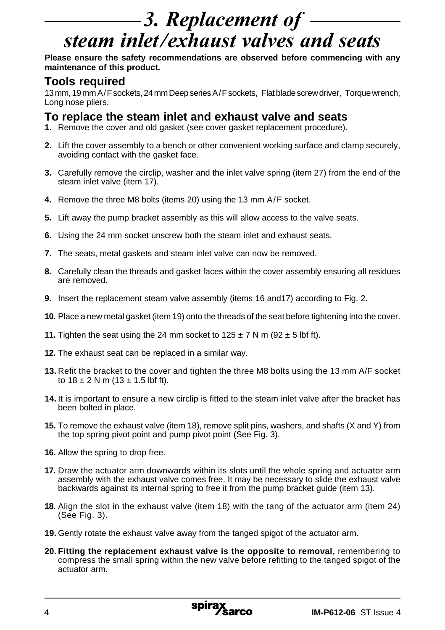## 3. Replacement of *steam inlet/exhaust valves and seats*

**Please ensure the safety recommendations are observed before commencing with any maintenance of this product.**

#### **Tools required**

13 mm, 19 mm A/F sockets, 24 mm Deep series A/F sockets, Flat blade screw driver, Torque wrench, Long nose pliers.

#### **To replace the steam inlet and exhaust valve and seats**

- **1.** Remove the cover and old gasket (see cover gasket replacement procedure).
- **2.** Lift the cover assembly to a bench or other convenient working surface and clamp securely, avoiding contact with the gasket face.
- **3.** Carefully remove the circlip, washer and the inlet valve spring (item 27) from the end of the steam inlet valve (item 17).
- **4.** Remove the three M8 bolts (items 20) using the 13 mm A/F socket.
- **5.** Lift away the pump bracket assembly as this will allow access to the valve seats.
- **6.** Using the 24 mm socket unscrew both the steam inlet and exhaust seats.
- **7.** The seats, metal gaskets and steam inlet valve can now be removed.
- **8.** Carefully clean the threads and gasket faces within the cover assembly ensuring all residues are removed.
- **9.** Insert the replacement steam valve assembly (items 16 and 17) according to Fig. 2.
- **10.** Place a new metal gasket (item 19) onto the threads of the seat before tightening into the cover.
- **11.** Tighten the seat using the 24 mm socket to  $125 \pm 7$  N m (92  $\pm$  5 lbf ft).
- **12.** The exhaust seat can be replaced in a similar way.
- **13.** Refit the bracket to the cover and tighten the three M8 bolts using the 13 mm A/F socket to  $18 \pm 2$  N m  $(13 \pm 1.5)$  lbf ft).
- **14.** It is important to ensure a new circlip is fitted to the steam inlet valve after the bracket has been bolted in place.
- **15.** To remove the exhaust valve (item 18), remove split pins, washers, and shafts (X and Y) from the top spring pivot point and pump pivot point (See Fig. 3).
- **16.** Allow the spring to drop free.
- **17.** Draw the actuator arm downwards within its slots until the whole spring and actuator arm assembly with the exhaust valve comes free. It may be necessary to slide the exhaust valve backwards against its internal spring to free it from the pump bracket guide (item 13).
- **18.** Align the slot in the exhaust valve (item 18) with the tang of the actuator arm (item 24) (See Fig. 3).
- **19.** Gently rotate the exhaust valve away from the tanged spigot of the actuator arm.
- **20. Fitting the replacement exhaust valve is the opposite to removal,** remembering to compress the small spring within the new valve before refitting to the tanged spigot of the actuator arm.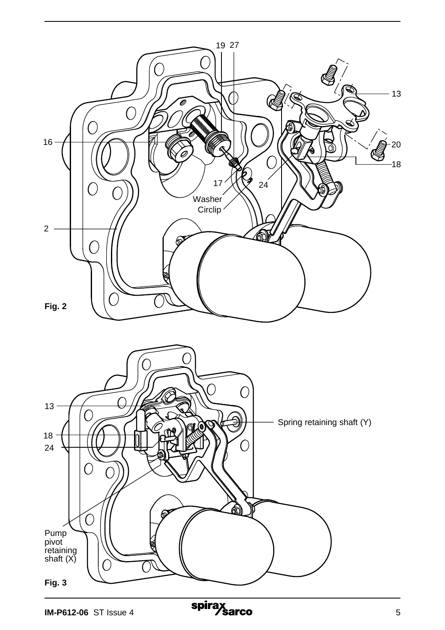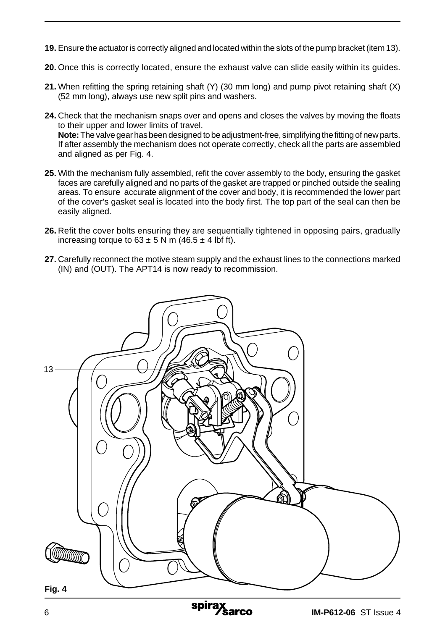- **19.** Ensure the actuator is correctly aligned and located within the slots of the pump bracket (item 13).
- **20.** Once this is correctly located, ensure the exhaust valve can slide easily within its guides.
- **21.** When refitting the spring retaining shaft (Y) (30 mm long) and pump pivot retaining shaft (X) (52 mm long), always use new split pins and washers.
- **24.** Check that the mechanism snaps over and opens and closes the valves by moving the floats to their upper and lower limits of travel. **Note:** The valve gear has been designed to be adjustment-free, simplifying the fitting of new parts. If after assembly the mechanism does not operate correctly, check all the parts are assembled and aligned as per Fig. 4.
- **25.** With the mechanism fully assembled, refit the cover assembly to the body, ensuring the gasket faces are carefully aligned and no parts of the gasket are trapped or pinched outside the sealing areas. To ensure accurate alignment of the cover and body, it is recommended the lower part of the cover's gasket seal is located into the body first. The top part of the seal can then be easily aligned.
- **26.** Refit the cover bolts ensuring they are sequentially tightened in opposing pairs, gradually increasing torque to  $63 \pm 5$  N m (46.5  $\pm$  4 lbf ft).
- **27.** Carefully reconnect the motive steam supply and the exhaust lines to the connections marked (IN) and (OUT). The APT14 is now ready to recommission.



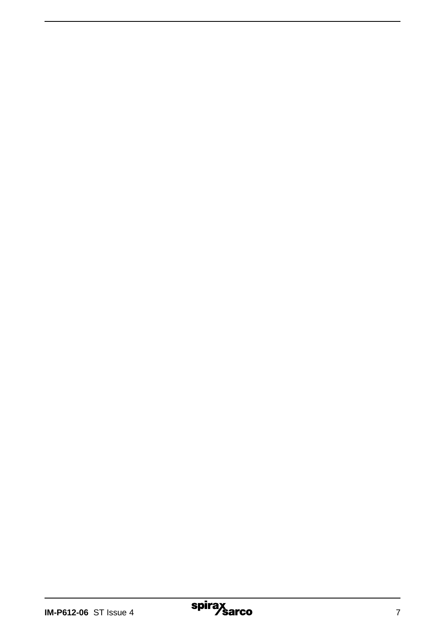